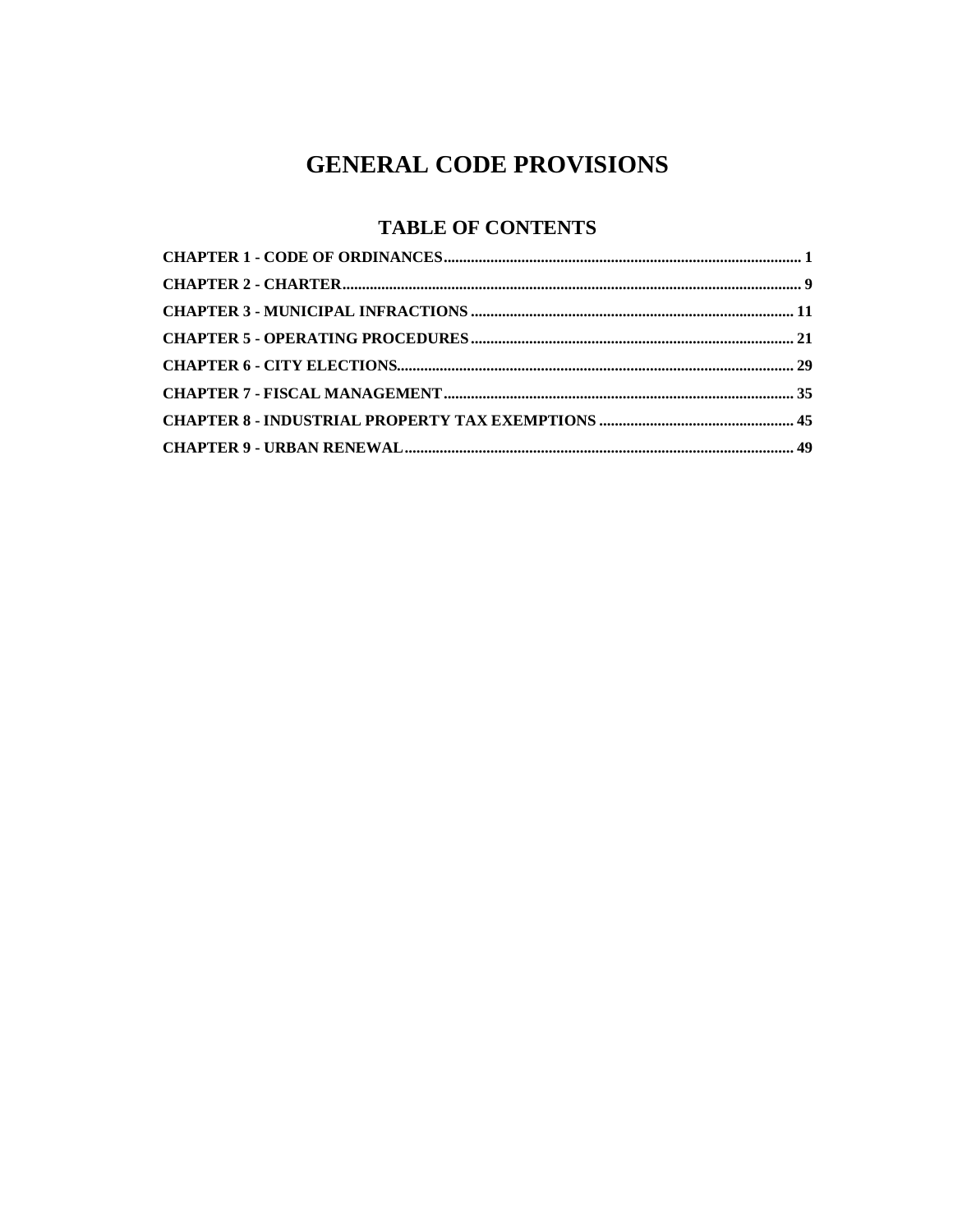## **GENERAL CODE PROVISIONS**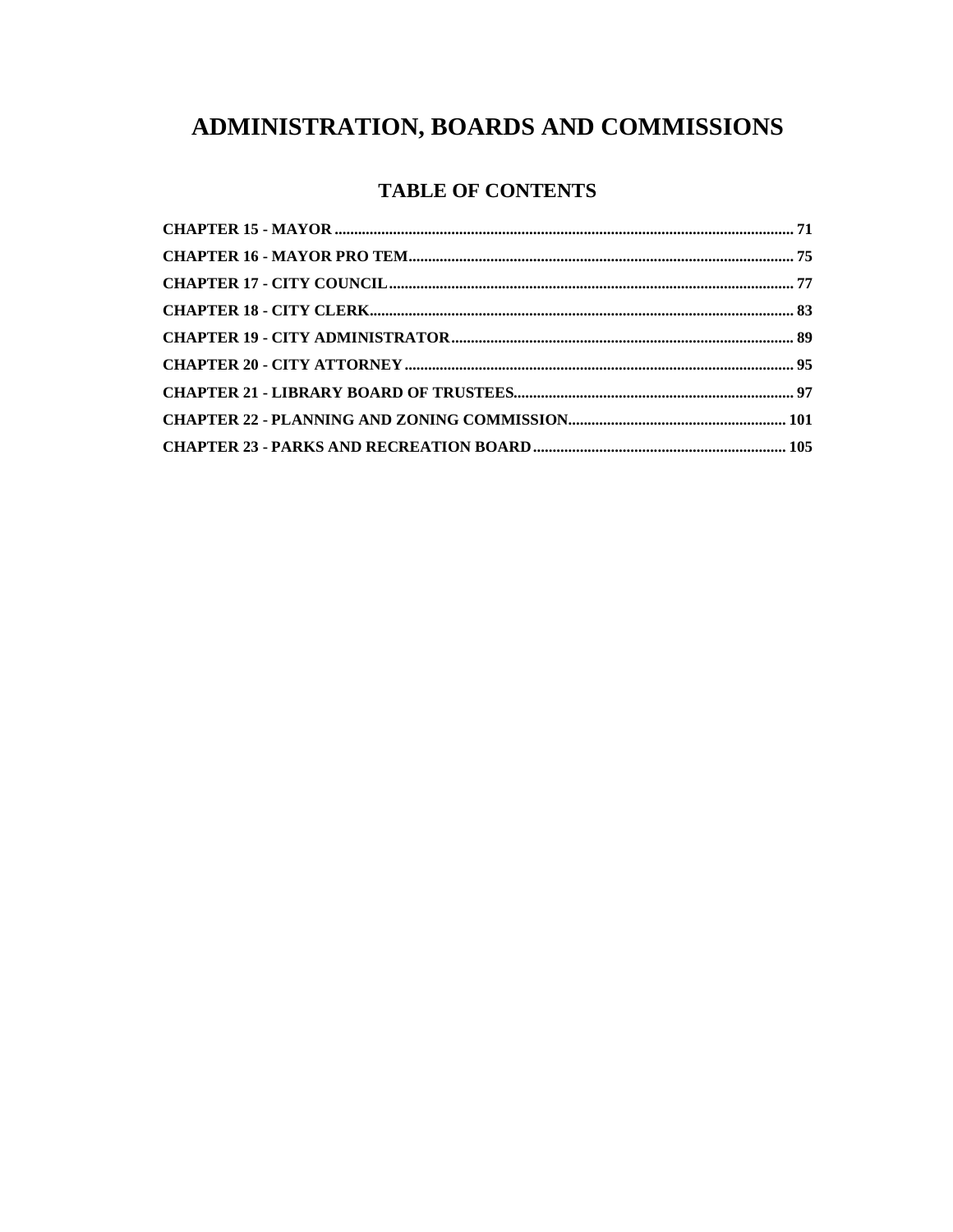# ADMINISTRATION, BOARDS AND COMMISSIONS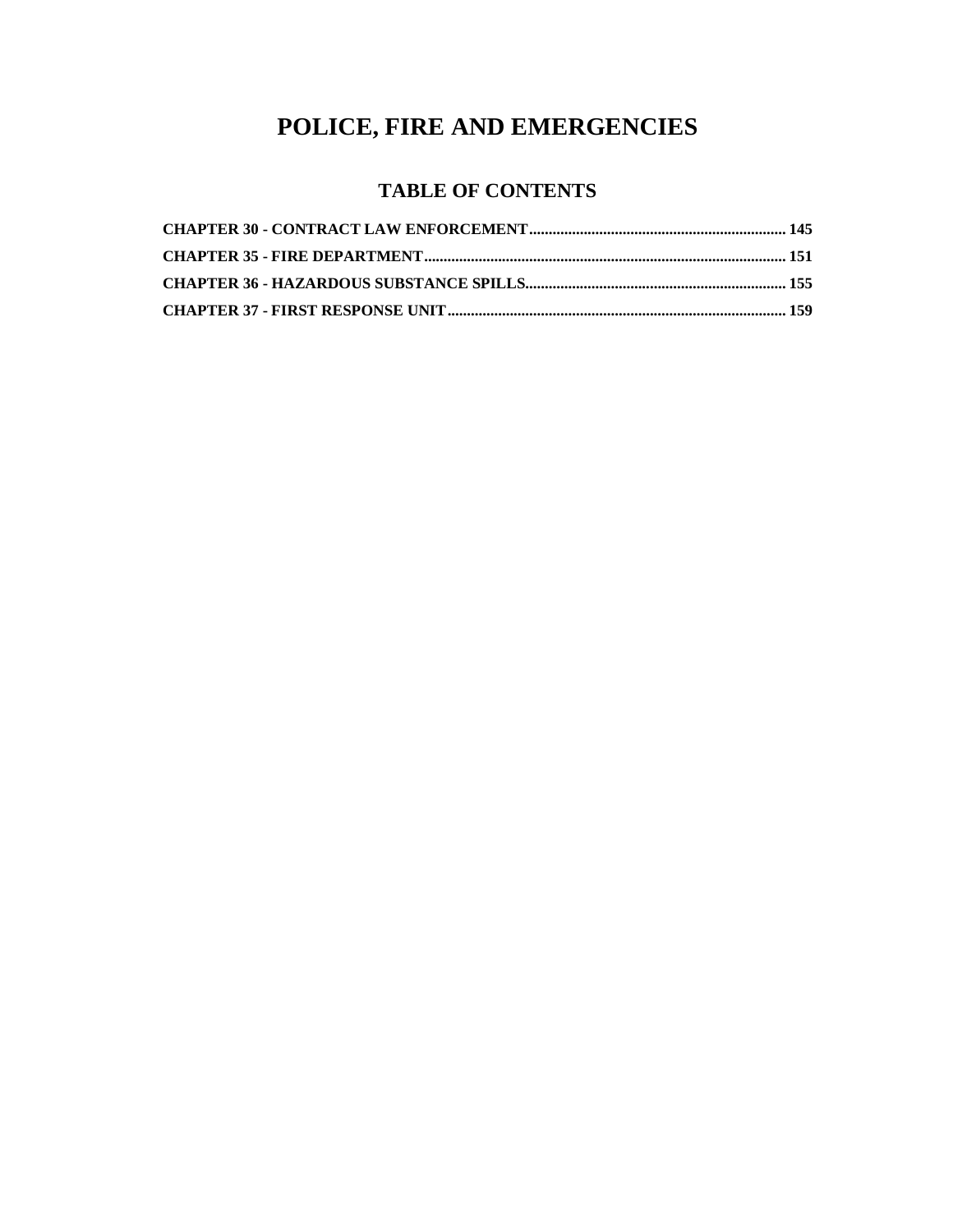# **POLICE, FIRE AND EMERGENCIES**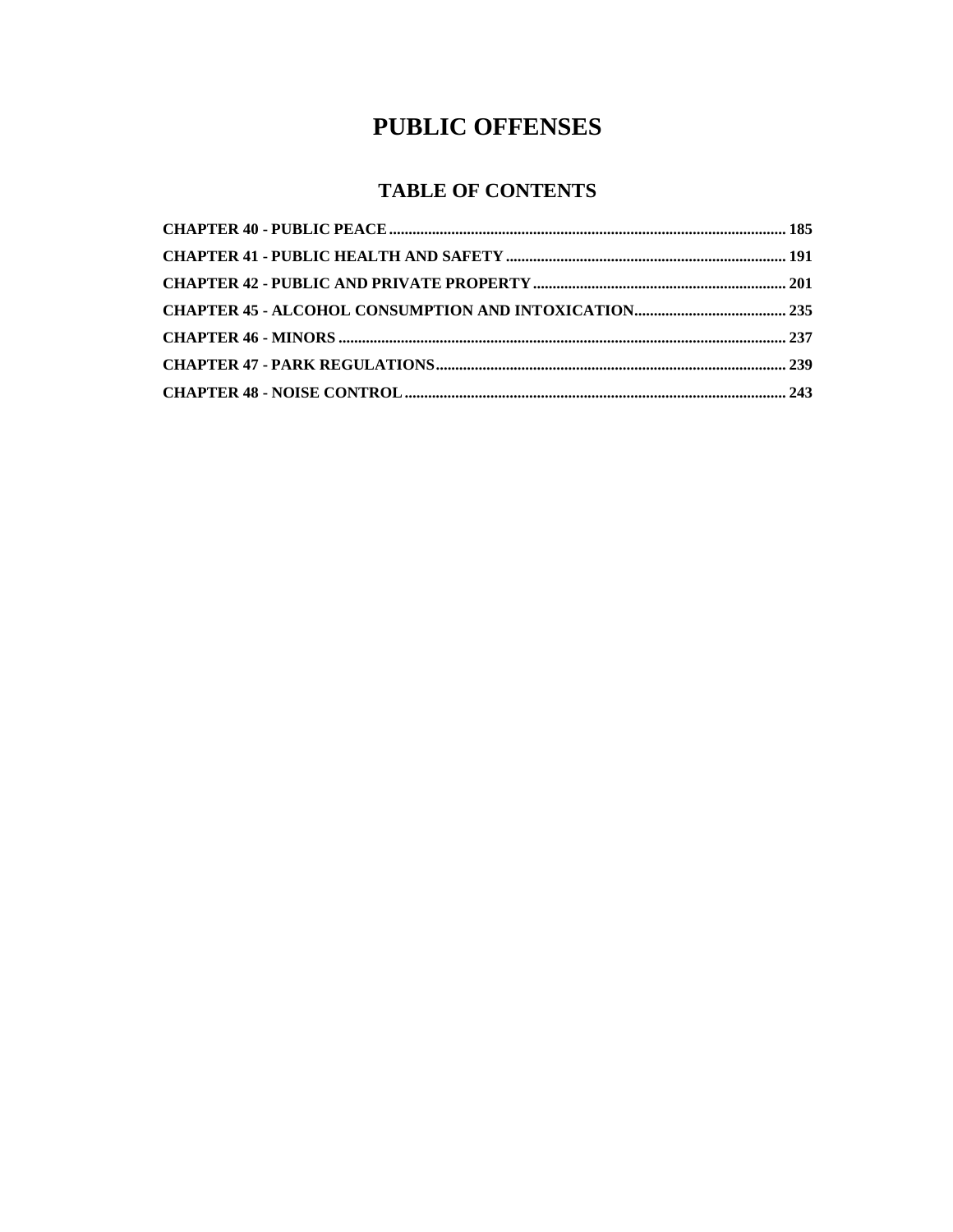## **PUBLIC OFFENSES**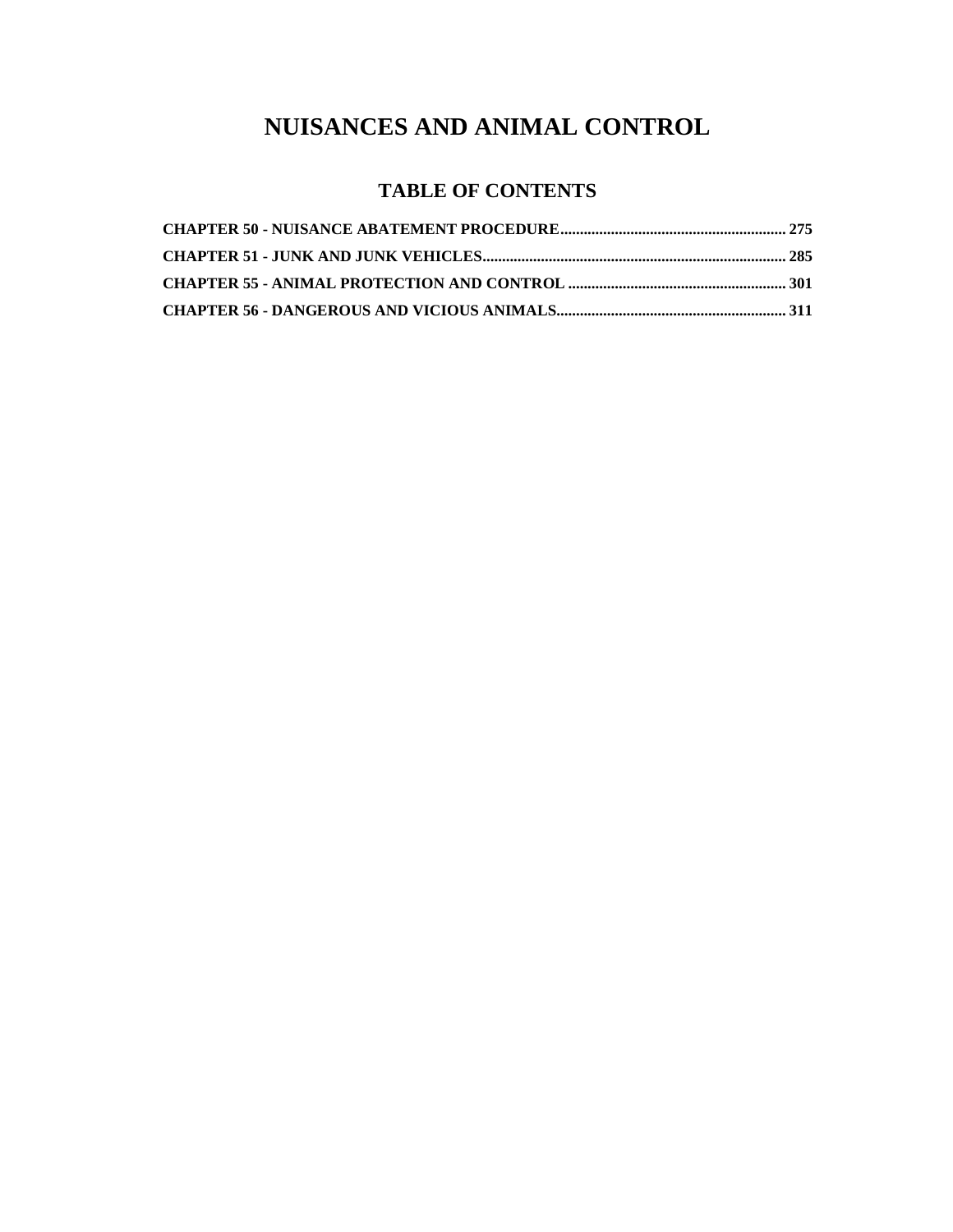### **NUISANCES AND ANIMAL CONTROL**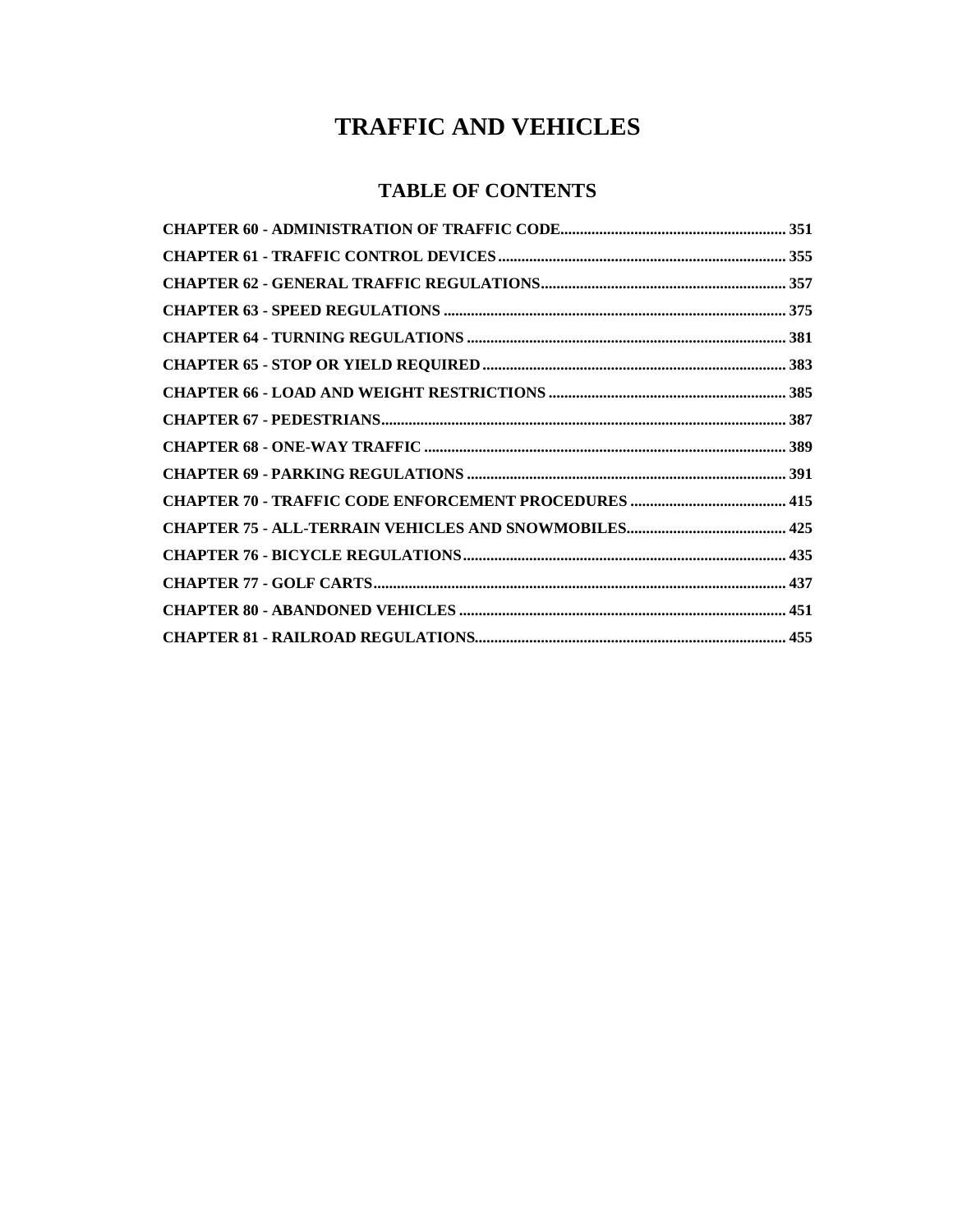### **TRAFFIC AND VEHICLES**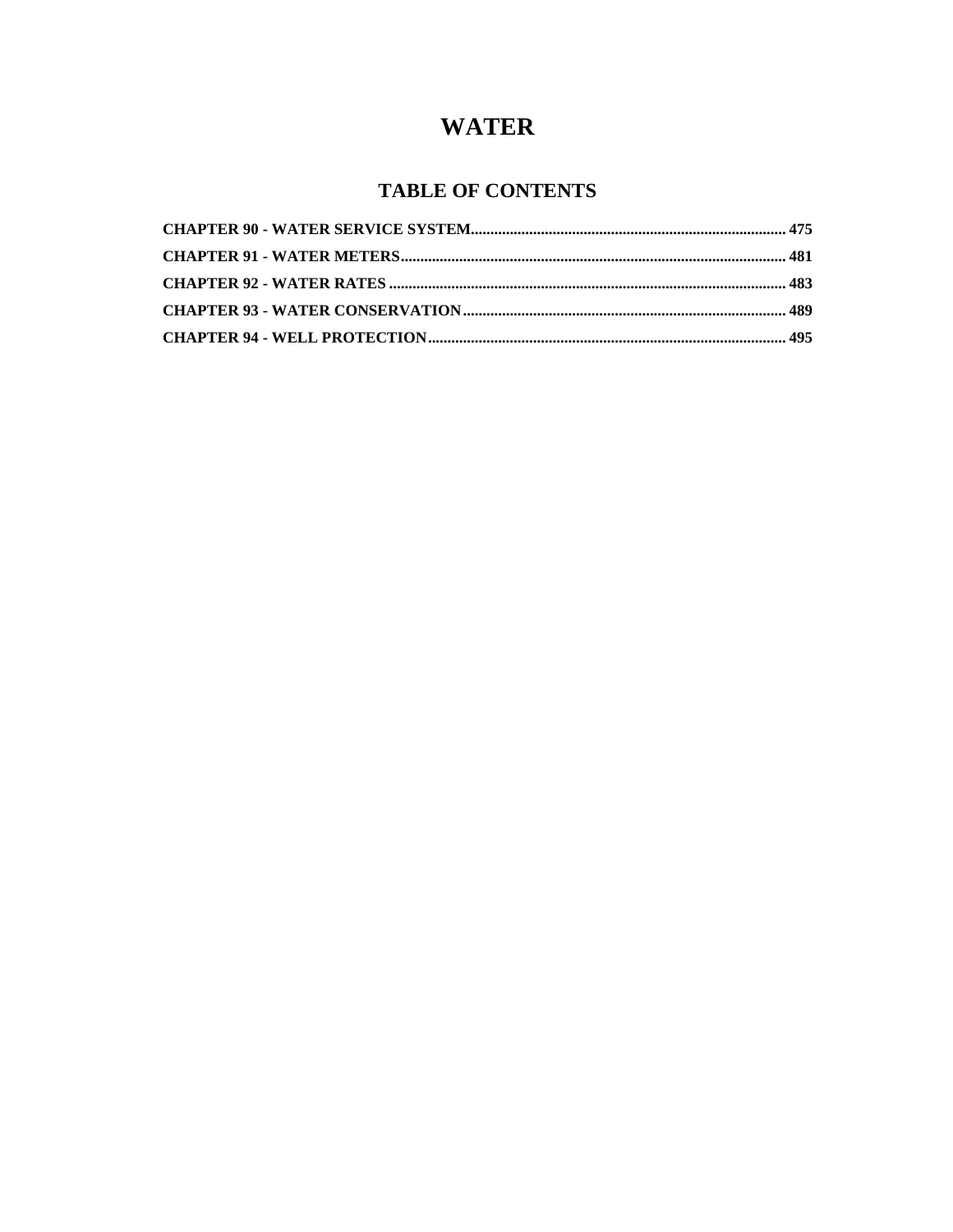### **WATER**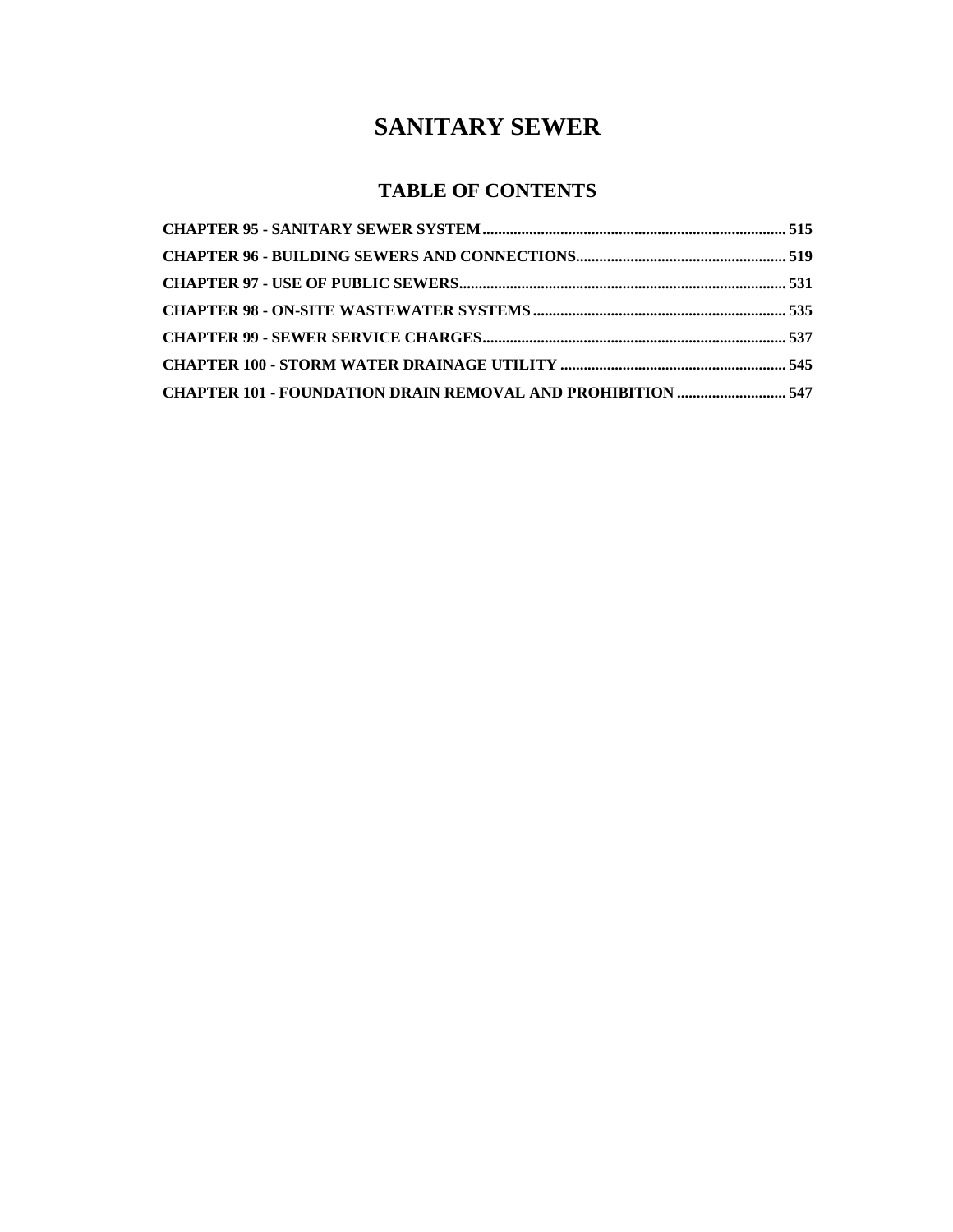### **SANITARY SEWER**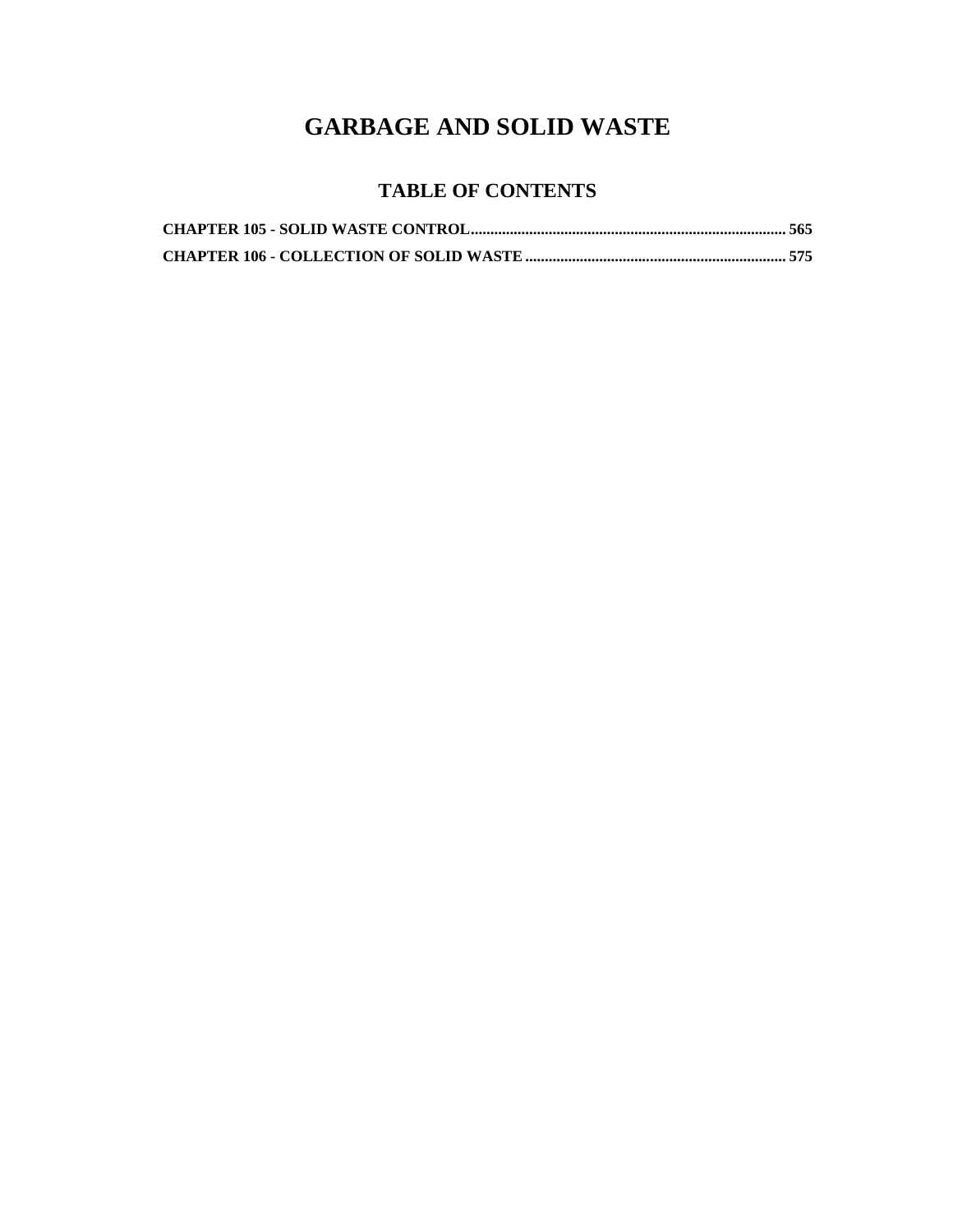## **GARBAGE AND SOLID WASTE**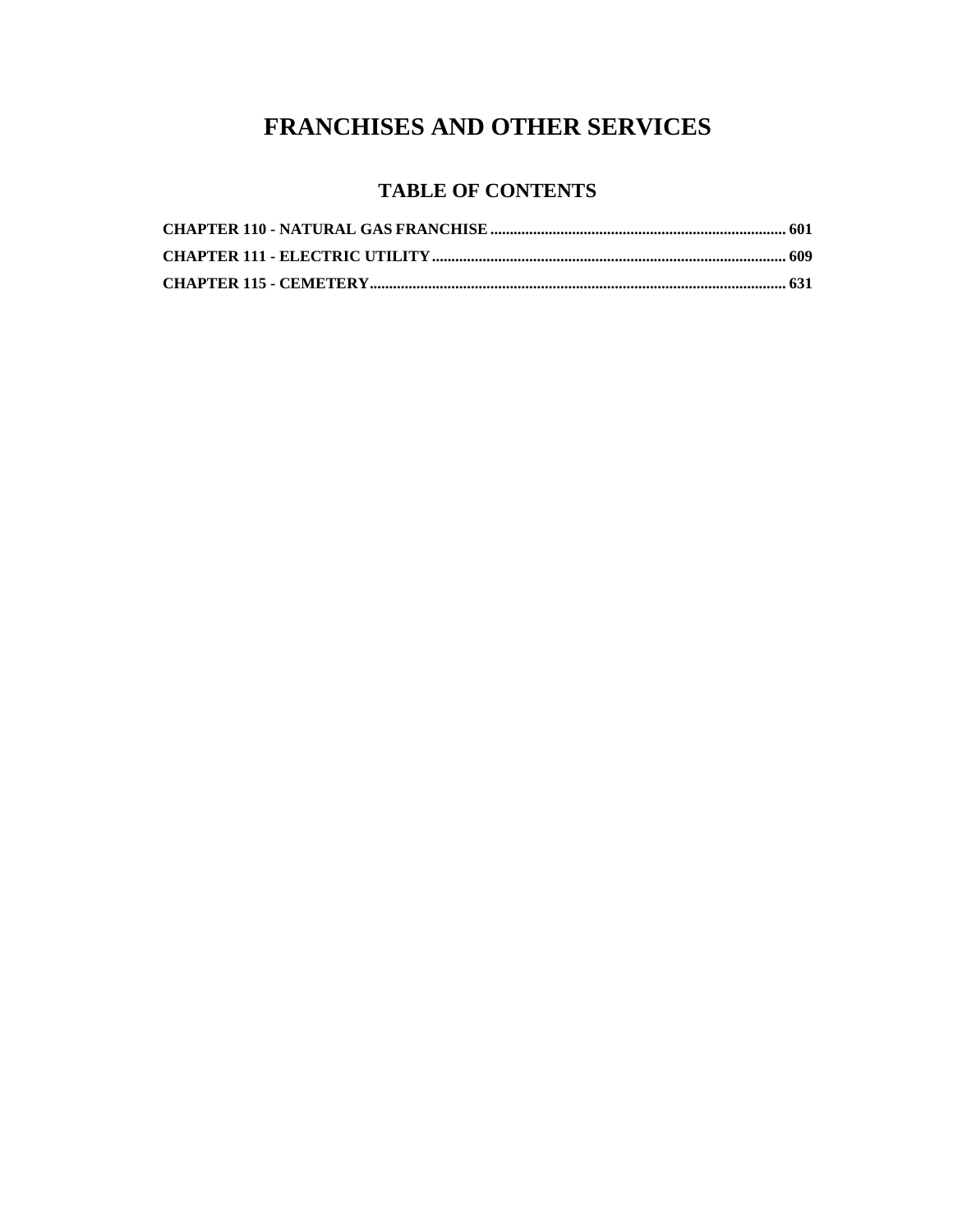### **FRANCHISES AND OTHER SERVICES**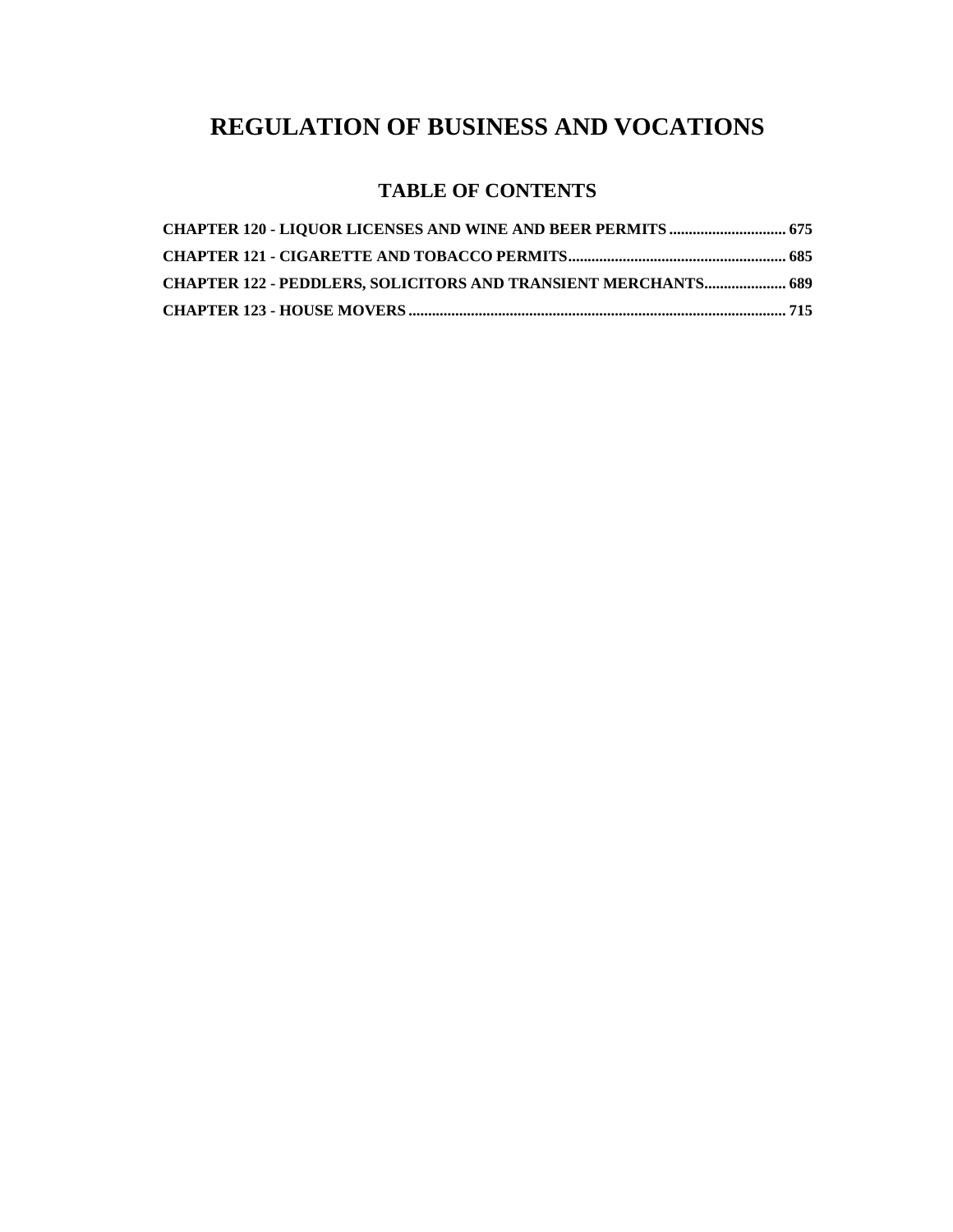## **REGULATION OF BUSINESS AND VOCATIONS**

| <b>CHAPTER 122 - PEDDLERS, SOLICITORS AND TRANSIENT MERCHANTS 689</b> |  |
|-----------------------------------------------------------------------|--|
|                                                                       |  |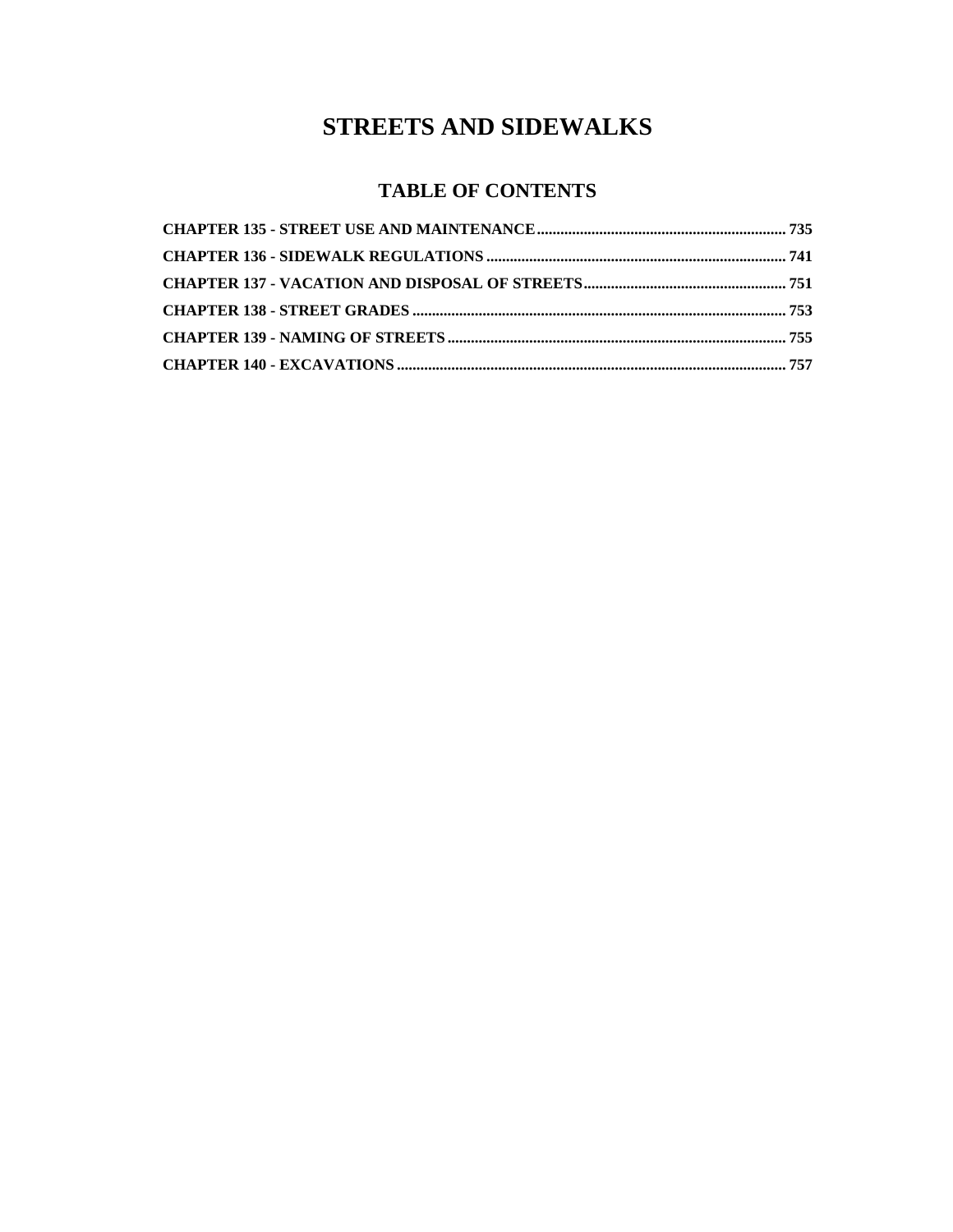### **STREETS AND SIDEWALKS**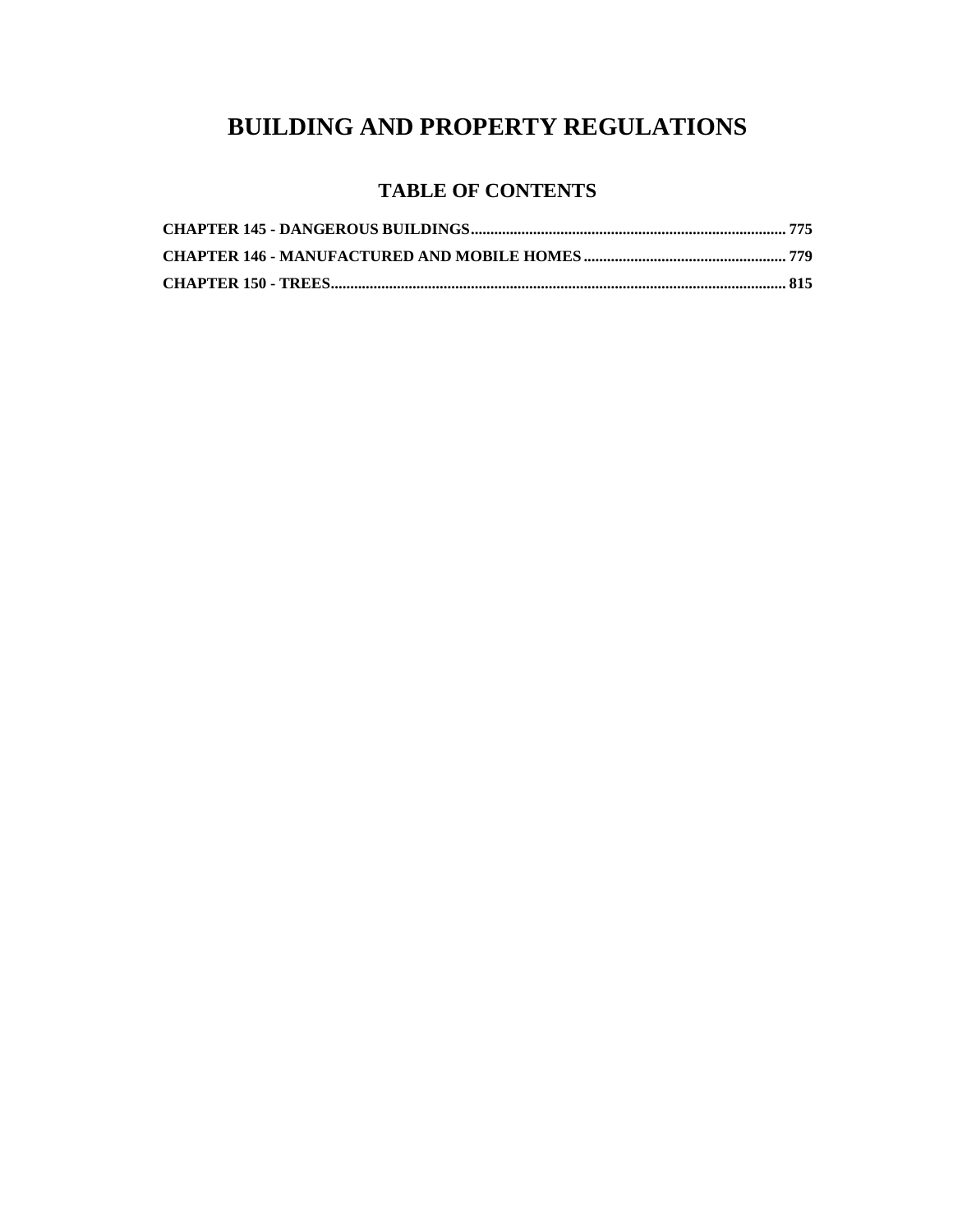### **BUILDING AND PROPERTY REGULATIONS**